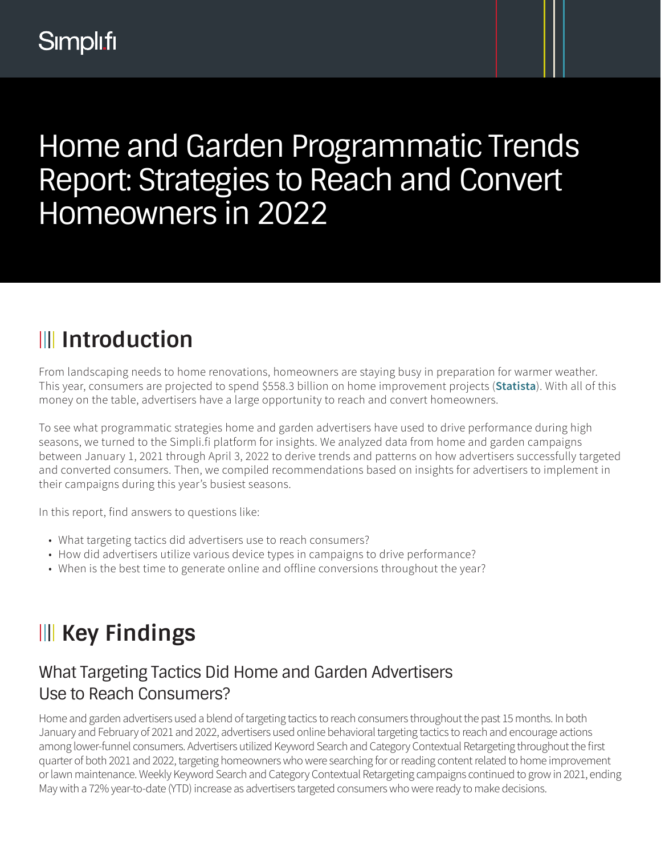## Home and Garden Programmatic Trends Report: Strategies to Reach and Convert Homeowners in 2022

## **Introduction**

From landscaping needs to home renovations, homeowners are staying busy in preparation for warmer weather. This year, consumers are projected to spend \$558.3 billion on home improvement projects (**[Statista](https://www.statista.com/statistics/239753/total-sales-of-home-improvement-retailers-in-the-us/)**). With all of this money on the table, advertisers have a large opportunity to reach and convert homeowners.

To see what programmatic strategies home and garden advertisers have used to drive performance during high seasons, we turned to the Simpli.fi platform for insights. We analyzed data from home and garden campaigns between January 1, 2021 through April 3, 2022 to derive trends and patterns on how advertisers successfully targeted and converted consumers. Then, we compiled recommendations based on insights for advertisers to implement in their campaigns during this year's busiest seasons.

In this report, find answers to questions like:

- What targeting tactics did advertisers use to reach consumers?
- How did advertisers utilize various device types in campaigns to drive performance?
- When is the best time to generate online and offline conversions throughout the year?

### **III Key Findings**

### What Targeting Tactics Did Home and Garden Advertisers Use to Reach Consumers?

Home and garden advertisers used a blend of targeting tactics to reach consumers throughout the past 15 months. In both January and February of 2021 and 2022, advertisers used online behavioral targeting tactics to reach and encourage actions among lower-funnel consumers. Advertisers utilized Keyword Search and Category Contextual Retargeting throughout the first quarter of both 2021 and 2022, targeting homeowners who were searching for or reading content related to home improvement or lawn maintenance. Weekly Keyword Search and Category Contextual Retargeting campaigns continued to grow in 2021, ending May with a 72% year-to-date (YTD) increase as advertisers targeted consumers who were ready to make decisions.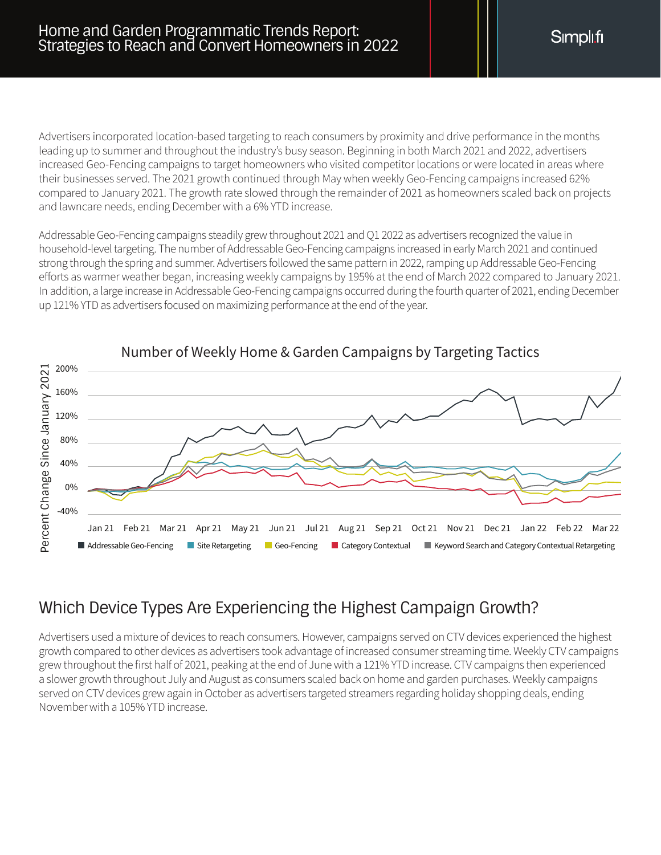Advertisers incorporated location-based targeting to reach consumers by proximity and drive performance in the months leading up to summer and throughout the industry's busy season. Beginning in both March 2021 and 2022, advertisers increased Geo-Fencing campaigns to target homeowners who visited competitor locations or were located in areas where their businesses served. The 2021 growth continued through May when weekly Geo-Fencing campaigns increased 62% compared to January 2021. The growth rate slowed through the remainder of 2021 as homeowners scaled back on projects and lawncare needs, ending December with a 6% YTD increase.

Addressable Geo-Fencing campaigns steadily grew throughout 2021 and Q1 2022 as advertisers recognized the value in household-level targeting. The number of Addressable Geo-Fencing campaigns increased in early March 2021 and continued strong through the spring and summer. Advertisers followed the same pattern in 2022, ramping up Addressable Geo-Fencing efforts as warmer weather began, increasing weekly campaigns by 195% at the end of March 2022 compared to January 2021. In addition, a large increase in Addressable Geo-Fencing campaigns occurred during the fourth quarter of 2021, ending December up 121% YTD as advertisers focused on maximizing performance at the end of the year.



#### **Number of Weekly Home & Garden Campaigns by Targeting Tactics** Number of Weekly Home & Garden Campaigns by Targeting Tactics

#### Which Device Types Are Experiencing the Highest Campaign Growth?

Advertisers used a mixture of devices to reach consumers. However, campaigns served on CTV devices experienced the highest growth compared to other devices as advertisers took advantage of increased consumer streaming time. Weekly CTV campaigns grew throughout the first half of 2021, peaking at the end of June with a 121% YTD increase. CTV campaigns then experienced a slower growth throughout July and August as consumers scaled back on home and garden purchases. Weekly campaigns served on CTV devices grew again in October as advertisers targeted streamers regarding holiday shopping deals, ending November with a 105% YTD increase.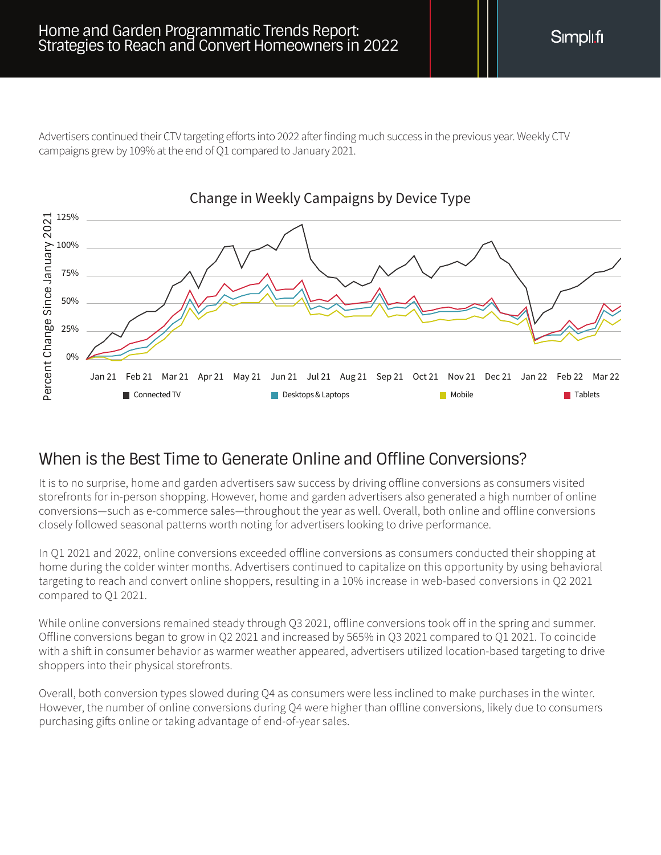Advertisers continued their CTV targeting efforts into 2022 after finding much success in the previous year. Weekly CTV campaigns grew by 109% at the end of Q1 compared to January 2021.



#### When is the Best Time to Generate Online and Offline Conversions?

It is to no surprise, home and garden advertisers saw success by driving offline conversions as consumers visited storefronts for in-person shopping. However, home and garden advertisers also generated a high number of online conversions—such as e-commerce sales—throughout the year as well. Overall, both online and offline conversions closely followed seasonal patterns worth noting for advertisers looking to drive performance.

In Q1 2021 and 2022, online conversions exceeded offline conversions as consumers conducted their shopping at home during the colder winter months. Advertisers continued to capitalize on this opportunity by using behavioral targeting to reach and convert online shoppers, resulting in a 10% increase in web-based conversions in Q2 2021 compared to Q1 2021.

While online conversions remained steady through Q3 2021, offline conversions took off in the spring and summer. Offline conversions began to grow in Q2 2021 and increased by 565% in Q3 2021 compared to Q1 2021. To coincide with a shift in consumer behavior as warmer weather appeared, advertisers utilized location-based targeting to drive shoppers into their physical storefronts.

Overall, both conversion types slowed during Q4 as consumers were less inclined to make purchases in the winter. However, the number of online conversions during Q4 were higher than offline conversions, likely due to consumers purchasing gifts online or taking advantage of end-of-year sales.

Simplifi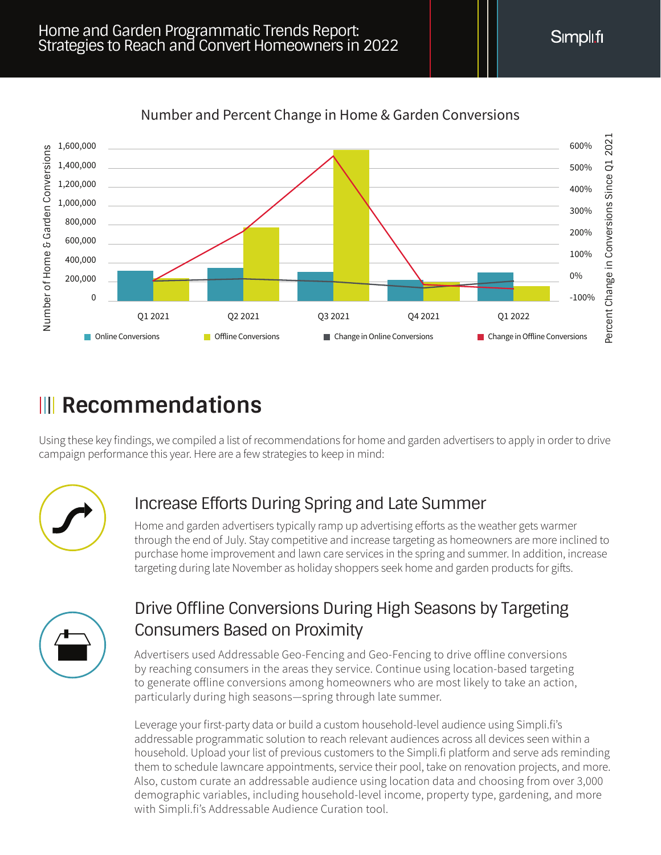

#### **Number of Home & Garden Conversions** Number and Percent Change in Home & Garden Conversions

### *Kecommendations*

Using these key findings, we compiled a list of recommendations for home and garden advertisers to apply in order to drive campaign performance this year. Here are a few strategies to keep in mind:



### Increase Efforts During Spring and Late Summer

Home and garden advertisers typically ramp up advertising efforts as the weather gets warmer through the end of July. Stay competitive and increase targeting as homeowners are more inclined to purchase home improvement and lawn care services in the spring and summer. In addition, increase targeting during late November as holiday shoppers seek home and garden products for gifts.



### Drive Offline Conversions During High Seasons by Targeting Consumers Based on Proximity

Advertisers used Addressable Geo-Fencing and Geo-Fencing to drive offline conversions by reaching consumers in the areas they service. Continue using location-based targeting to generate offline conversions among homeowners who are most likely to take an action, particularly during high seasons—spring through late summer.

Leverage your first-party data or build a custom household-level audience using Simpli.fi's addressable programmatic solution to reach relevant audiences across all devices seen within a household. Upload your list of previous customers to the Simpli.fi platform and serve ads reminding them to schedule lawncare appointments, service their pool, take on renovation projects, and more. Also, custom curate an addressable audience using location data and choosing from over 3,000 demographic variables, including household-level income, property type, gardening, and more with Simpli.fi's Addressable Audience Curation tool.